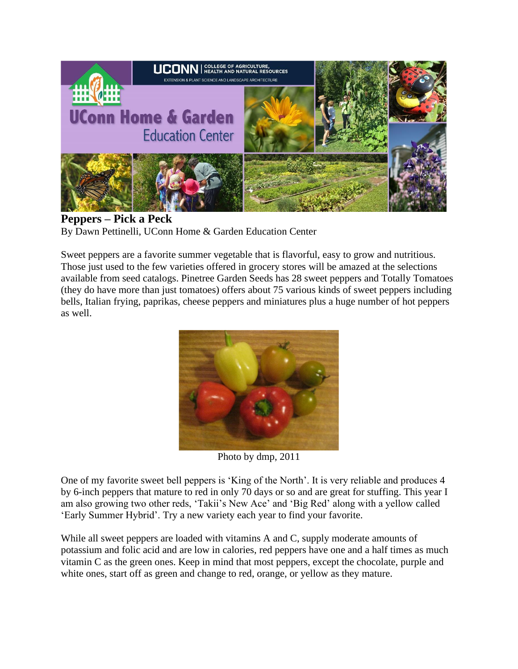

**Peppers – Pick a Peck** By Dawn Pettinelli, UConn Home & Garden Education Center

Sweet peppers are a favorite summer vegetable that is flavorful, easy to grow and nutritious. Those just used to the few varieties offered in grocery stores will be amazed at the selections available from seed catalogs. Pinetree Garden Seeds has 28 sweet peppers and Totally Tomatoes (they do have more than just tomatoes) offers about 75 various kinds of sweet peppers including bells, Italian frying, paprikas, cheese peppers and miniatures plus a huge number of hot peppers as well.



Photo by dmp, 2011

One of my favorite sweet bell peppers is 'King of the North'. It is very reliable and produces 4 by 6-inch peppers that mature to red in only 70 days or so and are great for stuffing. This year I am also growing two other reds, 'Takii's New Ace' and 'Big Red' along with a yellow called 'Early Summer Hybrid'. Try a new variety each year to find your favorite.

While all sweet peppers are loaded with vitamins A and C, supply moderate amounts of potassium and folic acid and are low in calories, red peppers have one and a half times as much vitamin C as the green ones. Keep in mind that most peppers, except the chocolate, purple and white ones, start off as green and change to red, orange, or yellow as they mature.